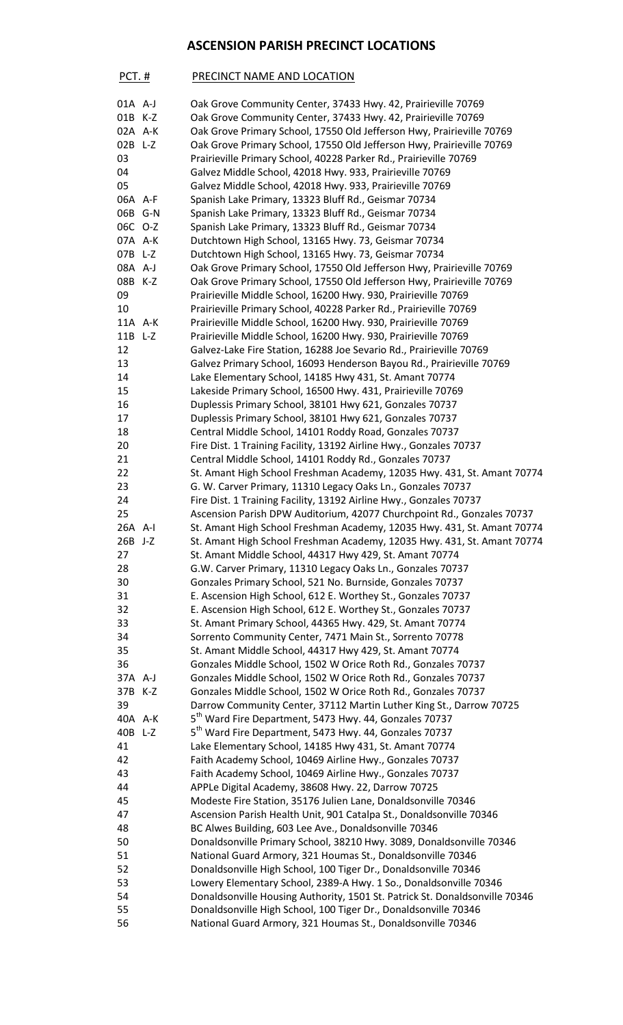## **ASCENSION PARISH PRECINCT LOCATIONS**

| PCT.#     | PRECINCT NAME AND LOCATION                                            |
|-----------|-----------------------------------------------------------------------|
| $01A$ A-J | Oak Grove Community Center, 37433 Hwy. 42, Prairieville 70769         |
| 01B K-Z   | Oak Grove Community Center, 37433 Hwy. 42, Prairieville 70769         |
| 02A A-K   | Oak Grove Primary School, 17550 Old Jefferson Hwy, Prairieville 70769 |
| $02B$ L-Z | Oak Grove Primary School, 17550 Old Jefferson Hwy, Prairieville 70769 |
| 03        | Prairieville Primary School, 40228 Parker Rd., Prairieville 70769     |
| 04        | Galvez Middle School, 42018 Hwy. 933, Prairieville 70769              |
| 05        | Galvez Middle School, 42018 Hwy. 933, Prairieville 70769              |
| 06A A-F   | Spanish Lake Primary, 13323 Bluff Rd., Geismar 70734                  |
| 06B G-N   | Spanish Lake Primary, 13323 Bluff Rd., Geismar 70734                  |
| 06C O-Z   | Spanish Lake Primary, 13323 Bluff Rd., Geismar 70734                  |

| 06C O-Z | Spanish Lake Primary, 13323 Bluff Rd., Geismar 70734                        |
|---------|-----------------------------------------------------------------------------|
| 07A A-K | Dutchtown High School, 13165 Hwy. 73, Geismar 70734                         |
| 07B L-Z | Dutchtown High School, 13165 Hwy. 73, Geismar 70734                         |
| 08A A-J | Oak Grove Primary School, 17550 Old Jefferson Hwy, Prairieville 70769       |
| 08B K-Z | Oak Grove Primary School, 17550 Old Jefferson Hwy, Prairieville 70769       |
| 09      | Prairieville Middle School, 16200 Hwy. 930, Prairieville 70769              |
| 10      | Prairieville Primary School, 40228 Parker Rd., Prairieville 70769           |
| 11A A-K | Prairieville Middle School, 16200 Hwy. 930, Prairieville 70769              |
| 11B L-Z | Prairieville Middle School, 16200 Hwy. 930, Prairieville 70769              |
| 12      | Galvez-Lake Fire Station, 16288 Joe Sevario Rd., Prairieville 70769         |
| 13      | Galvez Primary School, 16093 Henderson Bayou Rd., Prairieville 70769        |
| 14      | Lake Elementary School, 14185 Hwy 431, St. Amant 70774                      |
| 15      |                                                                             |
|         | Lakeside Primary School, 16500 Hwy. 431, Prairieville 70769                 |
| 16      | Duplessis Primary School, 38101 Hwy 621, Gonzales 70737                     |
| 17      | Duplessis Primary School, 38101 Hwy 621, Gonzales 70737                     |
| 18      | Central Middle School, 14101 Roddy Road, Gonzales 70737                     |
| 20      | Fire Dist. 1 Training Facility, 13192 Airline Hwy., Gonzales 70737          |
| 21      | Central Middle School, 14101 Roddy Rd., Gonzales 70737                      |
| 22      | St. Amant High School Freshman Academy, 12035 Hwy. 431, St. Amant 70774     |
| 23      | G. W. Carver Primary, 11310 Legacy Oaks Ln., Gonzales 70737                 |
| 24      | Fire Dist. 1 Training Facility, 13192 Airline Hwy., Gonzales 70737          |
| 25      | Ascension Parish DPW Auditorium, 42077 Churchpoint Rd., Gonzales 70737      |
| 26A A-I | St. Amant High School Freshman Academy, 12035 Hwy. 431, St. Amant 70774     |
| 26B J-Z | St. Amant High School Freshman Academy, 12035 Hwy. 431, St. Amant 70774     |
| 27      | St. Amant Middle School, 44317 Hwy 429, St. Amant 70774                     |
| 28      | G.W. Carver Primary, 11310 Legacy Oaks Ln., Gonzales 70737                  |
| 30      | Gonzales Primary School, 521 No. Burnside, Gonzales 70737                   |
| 31      | E. Ascension High School, 612 E. Worthey St., Gonzales 70737                |
| 32      | E. Ascension High School, 612 E. Worthey St., Gonzales 70737                |
| 33      | St. Amant Primary School, 44365 Hwy. 429, St. Amant 70774                   |
| 34      | Sorrento Community Center, 7471 Main St., Sorrento 70778                    |
| 35      | St. Amant Middle School, 44317 Hwy 429, St. Amant 70774                     |
| 36      | Gonzales Middle School, 1502 W Orice Roth Rd., Gonzales 70737               |
| 37A A-J | Gonzales Middle School, 1502 W Orice Roth Rd., Gonzales 70737               |
| 37B K-Z | Gonzales Middle School, 1502 W Orice Roth Rd., Gonzales 70737               |
| 39      | Darrow Community Center, 37112 Martin Luther King St., Darrow 70725         |
| 40A A-K | 5 <sup>th</sup> Ward Fire Department, 5473 Hwy. 44, Gonzales 70737          |
| 40B L-Z | 5 <sup>th</sup> Ward Fire Department, 5473 Hwy. 44, Gonzales 70737          |
| 41      | Lake Elementary School, 14185 Hwy 431, St. Amant 70774                      |
| 42      | Faith Academy School, 10469 Airline Hwy., Gonzales 70737                    |
| 43      | Faith Academy School, 10469 Airline Hwy., Gonzales 70737                    |
| 44      | APPLe Digital Academy, 38608 Hwy. 22, Darrow 70725                          |
| 45      | Modeste Fire Station, 35176 Julien Lane, Donaldsonville 70346               |
| 47      | Ascension Parish Health Unit, 901 Catalpa St., Donaldsonville 70346         |
| 48      | BC Alwes Building, 603 Lee Ave., Donaldsonville 70346                       |
| 50      | Donaldsonville Primary School, 38210 Hwy. 3089, Donaldsonville 70346        |
|         |                                                                             |
| 51      | National Guard Armory, 321 Houmas St., Donaldsonville 70346                 |
| 52      | Donaldsonville High School, 100 Tiger Dr., Donaldsonville 70346             |
| 53      | Lowery Elementary School, 2389-A Hwy. 1 So., Donaldsonville 70346           |
| 54      | Donaldsonville Housing Authority, 1501 St. Patrick St. Donaldsonville 70346 |
| 55      | Donaldsonville High School, 100 Tiger Dr., Donaldsonville 70346             |
| 56      | National Guard Armory, 321 Houmas St., Donaldsonville 70346                 |